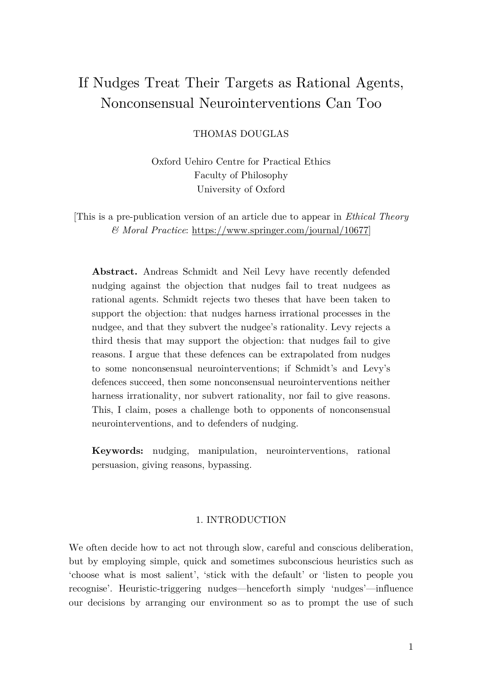# If Nudges Treat Their Targets as Rational Agents, Nonconsensual Neurointerventions Can Too

THOMAS DOUGLAS

Oxford Uehiro Centre for Practical Ethics Faculty of Philosophy University of Oxford

[This is a pre-publication version of an article due to appear in *Ethical Theory & Moral Practice*: https://www.springer.com/journal/10677]

**Abstract.** Andreas Schmidt and Neil Levy have recently defended nudging against the objection that nudges fail to treat nudgees as rational agents. Schmidt rejects two theses that have been taken to support the objection: that nudges harness irrational processes in the nudgee, and that they subvert the nudgee's rationality. Levy rejects a third thesis that may support the objection: that nudges fail to give reasons. I argue that these defences can be extrapolated from nudges to some nonconsensual neurointerventions; if Schmidt's and Levy's defences succeed, then some nonconsensual neurointerventions neither harness irrationality, nor subvert rationality, nor fail to give reasons. This, I claim, poses a challenge both to opponents of nonconsensual neurointerventions, and to defenders of nudging.

**Keywords:** nudging, manipulation, neurointerventions, rational persuasion, giving reasons, bypassing.

### 1. INTRODUCTION

We often decide how to act not through slow, careful and conscious deliberation, but by employing simple, quick and sometimes subconscious heuristics such as 'choose what is most salient', 'stick with the default' or 'listen to people you recognise'. Heuristic-triggering nudges—henceforth simply 'nudges'—influence our decisions by arranging our environment so as to prompt the use of such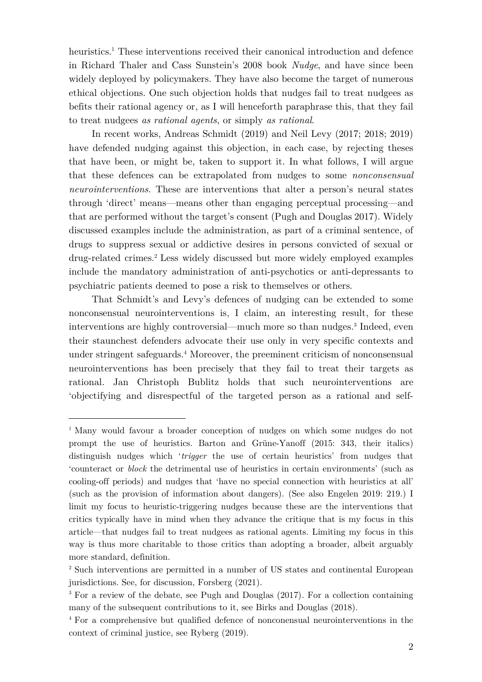heuristics.<sup>1</sup> These interventions received their canonical introduction and defence in Richard Thaler and Cass Sunstein's 2008 book *Nudge*, and have since been widely deployed by policymakers. They have also become the target of numerous ethical objections. One such objection holds that nudges fail to treat nudgees as befits their rational agency or, as I will henceforth paraphrase this, that they fail to treat nudgees *as rational agents*, or simply *as rational*.

In recent works, Andreas Schmidt (2019) and Neil Levy (2017; 2018; 2019) have defended nudging against this objection, in each case, by rejecting theses that have been, or might be, taken to support it. In what follows, I will argue that these defences can be extrapolated from nudges to some *nonconsensual neurointerventions*. These are interventions that alter a person's neural states through 'direct' means—means other than engaging perceptual processing—and that are performed without the target's consent (Pugh and Douglas 2017). Widely discussed examples include the administration, as part of a criminal sentence, of drugs to suppress sexual or addictive desires in persons convicted of sexual or drug-related crimes. <sup>2</sup> Less widely discussed but more widely employed examples include the mandatory administration of anti-psychotics or anti-depressants to psychiatric patients deemed to pose a risk to themselves or others.

That Schmidt's and Levy's defences of nudging can be extended to some nonconsensual neurointerventions is, I claim, an interesting result, for these interventions are highly controversial—much more so than nudges. <sup>3</sup> Indeed, even their staunchest defenders advocate their use only in very specific contexts and under stringent safeguards.4 Moreover, the preeminent criticism of nonconsensual neurointerventions has been precisely that they fail to treat their targets as rational. Jan Christoph Bublitz holds that such neurointerventions are 'objectifying and disrespectful of the targeted person as a rational and self-

<sup>&</sup>lt;sup>1</sup> Many would favour a broader conception of nudges on which some nudges do not prompt the use of heuristics. Barton and Grüne-Yanoff (2015: 343, their italics) distinguish nudges which '*trigger* the use of certain heuristics' from nudges that 'counteract or *block* the detrimental use of heuristics in certain environments' (such as cooling-off periods) and nudges that 'have no special connection with heuristics at all' (such as the provision of information about dangers). (See also Engelen 2019: 219.) I limit my focus to heuristic-triggering nudges because these are the interventions that critics typically have in mind when they advance the critique that is my focus in this article—that nudges fail to treat nudgees as rational agents. Limiting my focus in this way is thus more charitable to those critics than adopting a broader, albeit arguably more standard, definition.

<sup>2</sup> Such interventions are permitted in a number of US states and continental European jurisdictions. See, for discussion, Forsberg (2021).

<sup>&</sup>lt;sup>3</sup> For a review of the debate, see Pugh and Douglas (2017). For a collection containing many of the subsequent contributions to it, see Birks and Douglas (2018).

<sup>4</sup> For a comprehensive but qualified defence of nonconensual neurointerventions in the context of criminal justice, see Ryberg (2019).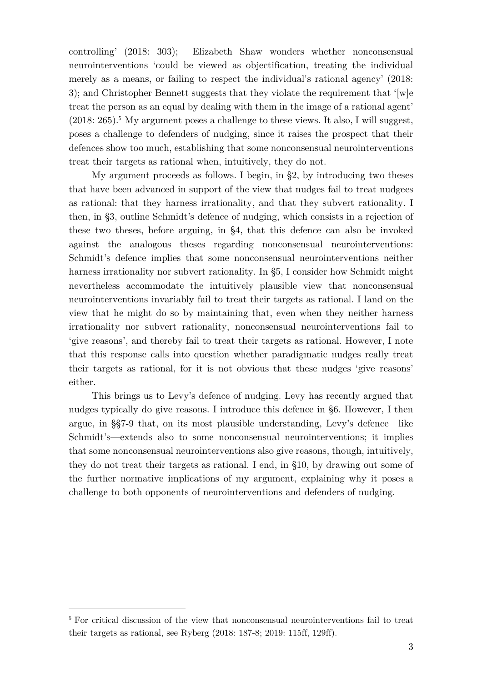controlling' (2018: 303); Elizabeth Shaw wonders whether nonconsensual neurointerventions 'could be viewed as objectification, treating the individual merely as a means, or failing to respect the individual's rational agency' (2018: 3); and Christopher Bennett suggests that they violate the requirement that '[w]e treat the person as an equal by dealing with them in the image of a rational agent'  $(2018: 265).$ <sup>5</sup> My argument poses a challenge to these views. It also, I will suggest, poses a challenge to defenders of nudging, since it raises the prospect that their defences show too much, establishing that some nonconsensual neurointerventions treat their targets as rational when, intuitively, they do not.

My argument proceeds as follows. I begin, in §2, by introducing two theses that have been advanced in support of the view that nudges fail to treat nudgees as rational: that they harness irrationality, and that they subvert rationality. I then, in §3, outline Schmidt's defence of nudging, which consists in a rejection of these two theses, before arguing, in §4, that this defence can also be invoked against the analogous theses regarding nonconsensual neurointerventions: Schmidt's defence implies that some nonconsensual neurointerventions neither harness irrationality nor subvert rationality. In §5, I consider how Schmidt might nevertheless accommodate the intuitively plausible view that nonconsensual neurointerventions invariably fail to treat their targets as rational. I land on the view that he might do so by maintaining that, even when they neither harness irrationality nor subvert rationality, nonconsensual neurointerventions fail to 'give reasons', and thereby fail to treat their targets as rational. However, I note that this response calls into question whether paradigmatic nudges really treat their targets as rational, for it is not obvious that these nudges 'give reasons' either.

This brings us to Levy's defence of nudging. Levy has recently argued that nudges typically do give reasons. I introduce this defence in §6. However, I then argue, in §§7-9 that, on its most plausible understanding, Levy's defence—like Schmidt's—extends also to some nonconsensual neurointerventions; it implies that some nonconsensual neurointerventions also give reasons, though, intuitively, they do not treat their targets as rational. I end, in §10, by drawing out some of the further normative implications of my argument, explaining why it poses a challenge to both opponents of neurointerventions and defenders of nudging.

<sup>5</sup> For critical discussion of the view that nonconsensual neurointerventions fail to treat their targets as rational, see Ryberg (2018: 187-8; 2019: 115ff, 129ff).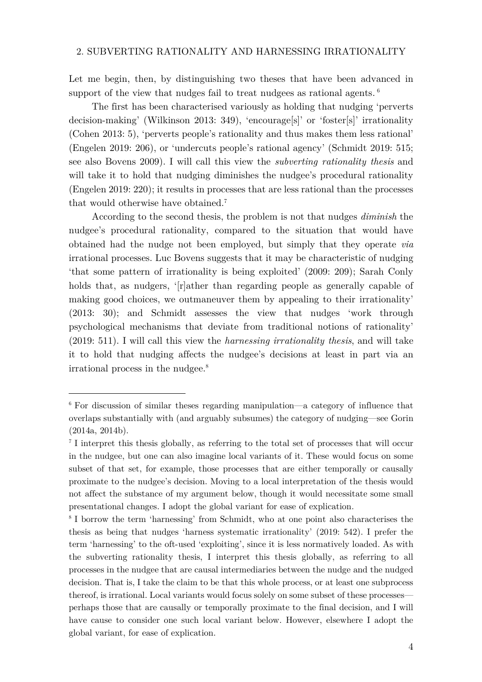#### 2. SUBVERTING RATIONALITY AND HARNESSING IRRATIONALITY

Let me begin, then, by distinguishing two theses that have been advanced in support of the view that nudges fail to treat nudgees as rational agents.  $6$ 

The first has been characterised variously as holding that nudging 'perverts decision-making' (Wilkinson 2013: 349), 'encourage[s]' or 'foster[s]' irrationality (Cohen 2013: 5), 'perverts people's rationality and thus makes them less rational' (Engelen 2019: 206), or 'undercuts people's rational agency' (Schmidt 2019: 515; see also Bovens 2009). I will call this view the *subverting rationality thesis* and will take it to hold that nudging diminishes the nudgee's procedural rationality (Engelen 2019: 220); it results in processes that are less rational than the processes that would otherwise have obtained. 7

According to the second thesis, the problem is not that nudges *diminish* the nudgee's procedural rationality, compared to the situation that would have obtained had the nudge not been employed, but simply that they operate *via* irrational processes. Luc Bovens suggests that it may be characteristic of nudging 'that some pattern of irrationality is being exploited' (2009: 209); Sarah Conly holds that, as nudgers, '[r]ather than regarding people as generally capable of making good choices, we outmaneuver them by appealing to their irrationality' (2013: 30); and Schmidt assesses the view that nudges 'work through psychological mechanisms that deviate from traditional notions of rationality' (2019: 511). I will call this view the *harnessing irrationality thesis*, and will take it to hold that nudging affects the nudgee's decisions at least in part via an irrational process in the nudgee.8

 $6$  For discussion of similar theses regarding manipulation—a category of influence that overlaps substantially with (and arguably subsumes) the category of nudging—see Gorin (2014a, 2014b).

<sup>&</sup>lt;sup>7</sup> I interpret this thesis globally, as referring to the total set of processes that will occur in the nudgee, but one can also imagine local variants of it. These would focus on some subset of that set, for example, those processes that are either temporally or causally proximate to the nudgee's decision. Moving to a local interpretation of the thesis would not affect the substance of my argument below, though it would necessitate some small presentational changes. I adopt the global variant for ease of explication.

<sup>8</sup> I borrow the term 'harnessing' from Schmidt, who at one point also characterises the thesis as being that nudges 'harness systematic irrationality' (2019: 542). I prefer the term 'harnessing' to the oft-used 'exploiting', since it is less normatively loaded. As with the subverting rationality thesis, I interpret this thesis globally, as referring to all processes in the nudgee that are causal intermediaries between the nudge and the nudged decision. That is, I take the claim to be that this whole process, or at least one subprocess thereof, is irrational. Local variants would focus solely on some subset of these processes perhaps those that are causally or temporally proximate to the final decision, and I will have cause to consider one such local variant below. However, elsewhere I adopt the global variant, for ease of explication.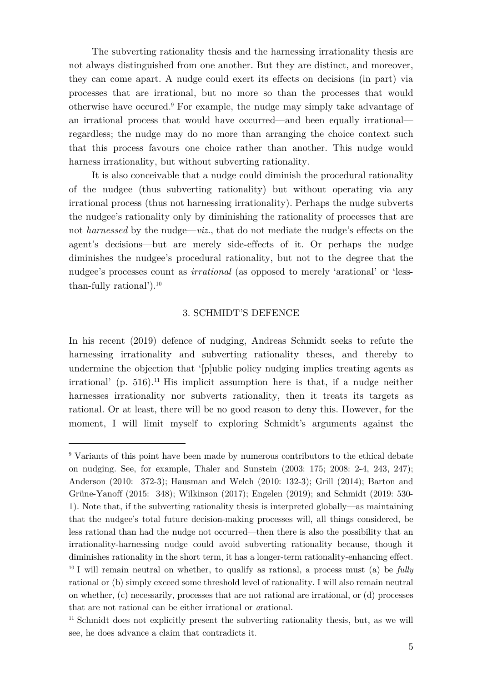The subverting rationality thesis and the harnessing irrationality thesis are not always distinguished from one another. But they are distinct, and moreover, they can come apart. A nudge could exert its effects on decisions (in part) via processes that are irrational, but no more so than the processes that would otherwise have occured. <sup>9</sup> For example, the nudge may simply take advantage of an irrational process that would have occurred—and been equally irrational regardless; the nudge may do no more than arranging the choice context such that this process favours one choice rather than another. This nudge would harness irrationality, but without subverting rationality.

It is also conceivable that a nudge could diminish the procedural rationality of the nudgee (thus subverting rationality) but without operating via any irrational process (thus not harnessing irrationality). Perhaps the nudge subverts the nudgee's rationality only by diminishing the rationality of processes that are not *harnessed* by the nudge—*viz*., that do not mediate the nudge's effects on the agent's decisions—but are merely side-effects of it. Or perhaps the nudge diminishes the nudgee's procedural rationality, but not to the degree that the nudgee's processes count as *irrational* (as opposed to merely 'arational' or 'lessthan-fully rational'). 10

#### 3. SCHMIDT'S DEFENCE

In his recent (2019) defence of nudging, Andreas Schmidt seeks to refute the harnessing irrationality and subverting rationality theses, and thereby to undermine the objection that '[p]ublic policy nudging implies treating agents as irrational' (p. 516).<sup>11</sup> His implicit assumption here is that, if a nudge neither harnesses irrationality nor subverts rationality, then it treats its targets as rational. Or at least, there will be no good reason to deny this. However, for the moment, I will limit myself to exploring Schmidt's arguments against the

<sup>&</sup>lt;sup>9</sup> Variants of this point have been made by numerous contributors to the ethical debate on nudging. See, for example, Thaler and Sunstein (2003: 175; 2008: 2-4, 243, 247); Anderson (2010: 372-3); Hausman and Welch (2010: 132-3); Grill (2014); Barton and Grüne-Yanoff (2015: 348); Wilkinson (2017); Engelen (2019); and Schmidt (2019: 530- 1). Note that, if the subverting rationality thesis is interpreted globally—as maintaining that the nudgee's total future decision-making processes will, all things considered, be less rational than had the nudge not occurred—then there is also the possibility that an irrationality-harnessing nudge could avoid subverting rationality because, though it diminishes rationality in the short term, it has a longer-term rationality-enhancing effect. <sup>10</sup> I will remain neutral on whether, to qualify as rational, a process must (a) be *fully* rational or (b) simply exceed some threshold level of rationality. I will also remain neutral on whether, (c) necessarily, processes that are not rational are irrational, or (d) processes that are not rational can be either irrational or *a*rational.

<sup>&</sup>lt;sup>11</sup> Schmidt does not explicitly present the subverting rationality thesis, but, as we will see, he does advance a claim that contradicts it.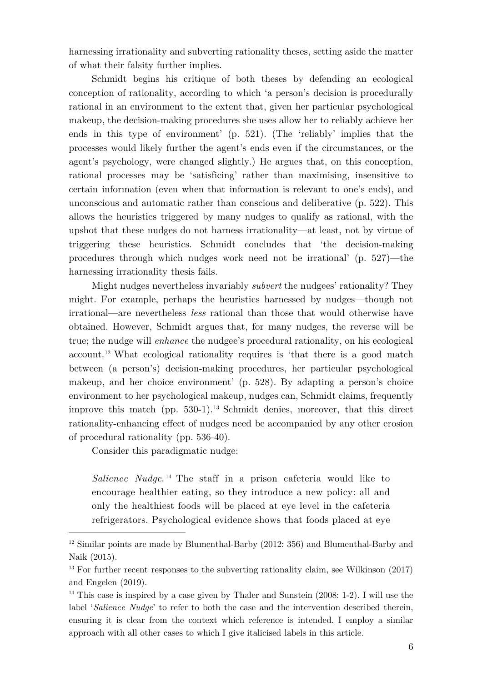harnessing irrationality and subverting rationality theses, setting aside the matter of what their falsity further implies.

Schmidt begins his critique of both theses by defending an ecological conception of rationality, according to which 'a person's decision is procedurally rational in an environment to the extent that, given her particular psychological makeup, the decision-making procedures she uses allow her to reliably achieve her ends in this type of environment' (p. 521). (The 'reliably' implies that the processes would likely further the agent's ends even if the circumstances, or the agent's psychology, were changed slightly.) He argues that, on this conception, rational processes may be 'satisficing' rather than maximising, insensitive to certain information (even when that information is relevant to one's ends), and unconscious and automatic rather than conscious and deliberative (p. 522). This allows the heuristics triggered by many nudges to qualify as rational, with the upshot that these nudges do not harness irrationality—at least, not by virtue of triggering these heuristics. Schmidt concludes that 'the decision-making procedures through which nudges work need not be irrational' (p. 527)—the harnessing irrationality thesis fails.

Might nudges nevertheless invariably *subvert* the nudgees' rationality? They might. For example, perhaps the heuristics harnessed by nudges—though not irrational—are nevertheless *less* rational than those that would otherwise have obtained. However, Schmidt argues that, for many nudges, the reverse will be true; the nudge will *enhance* the nudgee's procedural rationality, on his ecological account.12 What ecological rationality requires is 'that there is a good match between (a person's) decision-making procedures, her particular psychological makeup, and her choice environment' (p. 528). By adapting a person's choice environment to her psychological makeup, nudges can, Schmidt claims, frequently improve this match (pp. 530-1). <sup>13</sup> Schmidt denies, moreover, that this direct rationality-enhancing effect of nudges need be accompanied by any other erosion of procedural rationality (pp. 536-40).

Consider this paradigmatic nudge:

*Salience Nudge*. <sup>14</sup> The staff in a prison cafeteria would like to encourage healthier eating, so they introduce a new policy: all and only the healthiest foods will be placed at eye level in the cafeteria refrigerators. Psychological evidence shows that foods placed at eye

<sup>&</sup>lt;sup>12</sup> Similar points are made by Blumenthal-Barby (2012: 356) and Blumenthal-Barby and Naik (2015).

<sup>&</sup>lt;sup>13</sup> For further recent responses to the subverting rationality claim, see Wilkinson (2017) and Engelen (2019).

 $14$  This case is inspired by a case given by Thaler and Sunstein (2008: 1-2). I will use the label '*Salience Nudge*' to refer to both the case and the intervention described therein, ensuring it is clear from the context which reference is intended. I employ a similar approach with all other cases to which I give italicised labels in this article.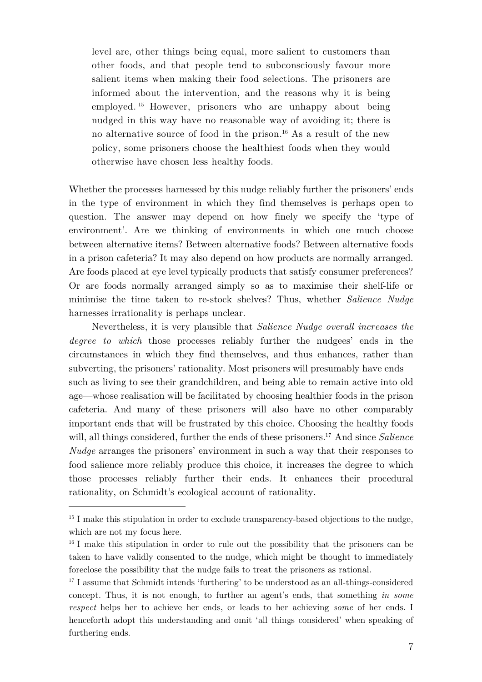level are, other things being equal, more salient to customers than other foods, and that people tend to subconsciously favour more salient items when making their food selections. The prisoners are informed about the intervention, and the reasons why it is being employed. <sup>15</sup> However, prisoners who are unhappy about being nudged in this way have no reasonable way of avoiding it; there is no alternative source of food in the prison.<sup>16</sup> As a result of the new policy, some prisoners choose the healthiest foods when they would otherwise have chosen less healthy foods.

Whether the processes harnessed by this nudge reliably further the prisoners' ends in the type of environment in which they find themselves is perhaps open to question. The answer may depend on how finely we specify the 'type of environment'. Are we thinking of environments in which one much choose between alternative items? Between alternative foods? Between alternative foods in a prison cafeteria? It may also depend on how products are normally arranged. Are foods placed at eye level typically products that satisfy consumer preferences? Or are foods normally arranged simply so as to maximise their shelf-life or minimise the time taken to re-stock shelves? Thus, whether *Salience Nudge* harnesses irrationality is perhaps unclear.

Nevertheless, it is very plausible that *Salience Nudge overall increases the degree to which* those processes reliably further the nudgees' ends in the circumstances in which they find themselves, and thus enhances, rather than subverting, the prisoners' rationality. Most prisoners will presumably have ends such as living to see their grandchildren, and being able to remain active into old age—whose realisation will be facilitated by choosing healthier foods in the prison cafeteria. And many of these prisoners will also have no other comparably important ends that will be frustrated by this choice. Choosing the healthy foods will, all things considered, further the ends of these prisoners. <sup>17</sup> And since *Salience Nudge* arranges the prisoners' environment in such a way that their responses to food salience more reliably produce this choice, it increases the degree to which those processes reliably further their ends. It enhances their procedural rationality, on Schmidt's ecological account of rationality.

 $15$  I make this stipulation in order to exclude transparency-based objections to the nudge, which are not my focus here.

 $16$  I make this stipulation in order to rule out the possibility that the prisoners can be taken to have validly consented to the nudge, which might be thought to immediately foreclose the possibility that the nudge fails to treat the prisoners as rational.

<sup>&</sup>lt;sup>17</sup> I assume that Schmidt intends 'furthering' to be understood as an all-things-considered concept. Thus, it is not enough, to further an agent's ends, that something *in some respect* helps her to achieve her ends, or leads to her achieving *some* of her ends. I henceforth adopt this understanding and omit 'all things considered' when speaking of furthering ends.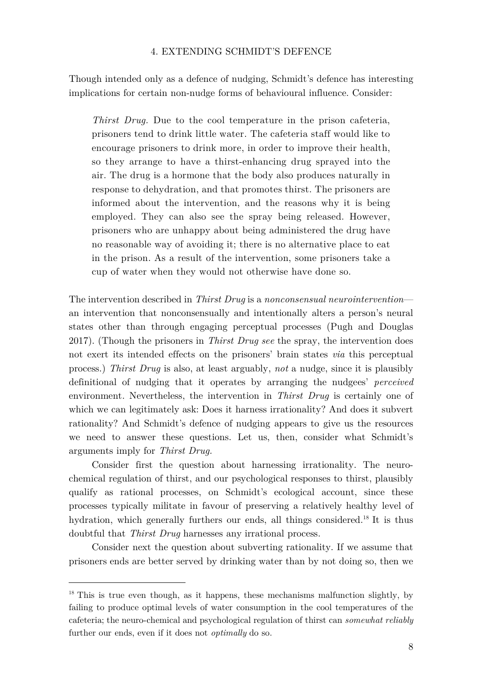#### 4. EXTENDING SCHMIDT'S DEFENCE

Though intended only as a defence of nudging, Schmidt's defence has interesting implications for certain non-nudge forms of behavioural influence. Consider:

*Thirst Drug.* Due to the cool temperature in the prison cafeteria, prisoners tend to drink little water. The cafeteria staff would like to encourage prisoners to drink more, in order to improve their health, so they arrange to have a thirst-enhancing drug sprayed into the air. The drug is a hormone that the body also produces naturally in response to dehydration, and that promotes thirst. The prisoners are informed about the intervention, and the reasons why it is being employed. They can also see the spray being released. However, prisoners who are unhappy about being administered the drug have no reasonable way of avoiding it; there is no alternative place to eat in the prison. As a result of the intervention, some prisoners take a cup of water when they would not otherwise have done so.

The intervention described in *Thirst Drug* is a *nonconsensual neurointervention* an intervention that nonconsensually and intentionally alters a person's neural states other than through engaging perceptual processes (Pugh and Douglas 2017). (Though the prisoners in *Thirst Drug see* the spray, the intervention does not exert its intended effects on the prisoners' brain states *via* this perceptual process.) *Thirst Drug* is also, at least arguably, *not* a nudge, since it is plausibly definitional of nudging that it operates by arranging the nudgees' *perceived* environment. Nevertheless, the intervention in *Thirst Drug* is certainly one of which we can legitimately ask: Does it harness irrationality? And does it subvert rationality? And Schmidt's defence of nudging appears to give us the resources we need to answer these questions. Let us, then, consider what Schmidt's arguments imply for *Thirst Drug.*

Consider first the question about harnessing irrationality. The neurochemical regulation of thirst, and our psychological responses to thirst, plausibly qualify as rational processes, on Schmidt's ecological account, since these processes typically militate in favour of preserving a relatively healthy level of hydration, which generally furthers our ends, all things considered.<sup>18</sup> It is thus doubtful that *Thirst Drug* harnesses any irrational process.

Consider next the question about subverting rationality. If we assume that prisoners ends are better served by drinking water than by not doing so, then we

<sup>&</sup>lt;sup>18</sup> This is true even though, as it happens, these mechanisms malfunction slightly, by failing to produce optimal levels of water consumption in the cool temperatures of the cafeteria; the neuro-chemical and psychological regulation of thirst can *somewhat reliably* further our ends, even if it does not *optimally* do so.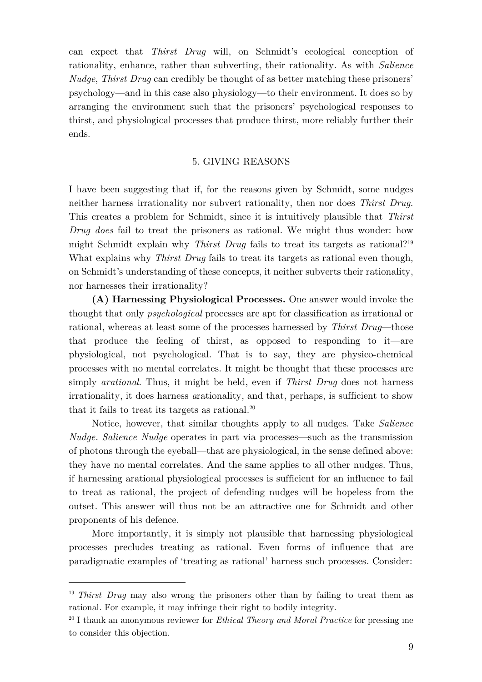can expect that *Thirst Drug* will, on Schmidt's ecological conception of rationality, enhance, rather than subverting, their rationality. As with *Salience Nudge*, *Thirst Drug* can credibly be thought of as better matching these prisoners' psychology—and in this case also physiology—to their environment. It does so by arranging the environment such that the prisoners' psychological responses to thirst, and physiological processes that produce thirst, more reliably further their ends.

#### 5. GIVING REASONS

I have been suggesting that if, for the reasons given by Schmidt, some nudges neither harness irrationality nor subvert rationality, then nor does *Thirst Drug.* This creates a problem for Schmidt, since it is intuitively plausible that *Thirst Drug does* fail to treat the prisoners as rational. We might thus wonder: how might Schmidt explain why *Thirst Drug* fails to treat its targets as rational?19 What explains why *Thirst Drug* fails to treat its targets as rational even though, on Schmidt's understanding of these concepts, it neither subverts their rationality, nor harnesses their irrationality?

**(A) Harnessing Physiological Processes.** One answer would invoke the thought that only *psychological* processes are apt for classification as irrational or rational, whereas at least some of the processes harnessed by *Thirst Drug*—those that produce the feeling of thirst, as opposed to responding to it—are physiological, not psychological. That is to say, they are physico-chemical processes with no mental correlates. It might be thought that these processes are simply *arational*. Thus, it might be held, even if *Thirst Drug* does not harness irrationality, it does harness *a*rationality, and that, perhaps, is sufficient to show that it fails to treat its targets as rational*.* 20

Notice, however, that similar thoughts apply to all nudges. Take *Salience Nudge. Salience Nudge* operates in part via processes—such as the transmission of photons through the eyeball—that are physiological, in the sense defined above: they have no mental correlates. And the same applies to all other nudges. Thus, if harnessing arational physiological processes is sufficient for an influence to fail to treat as rational, the project of defending nudges will be hopeless from the outset. This answer will thus not be an attractive one for Schmidt and other proponents of his defence.

More importantly, it is simply not plausible that harnessing physiological processes precludes treating as rational. Even forms of influence that are paradigmatic examples of 'treating as rational' harness such processes. Consider:

<sup>&</sup>lt;sup>19</sup> *Thirst Drug* may also wrong the prisoners other than by failing to treat them as rational. For example, it may infringe their right to bodily integrity.

<sup>20</sup> I thank an anonymous reviewer for *Ethical Theory and Moral Practice* for pressing me to consider this objection.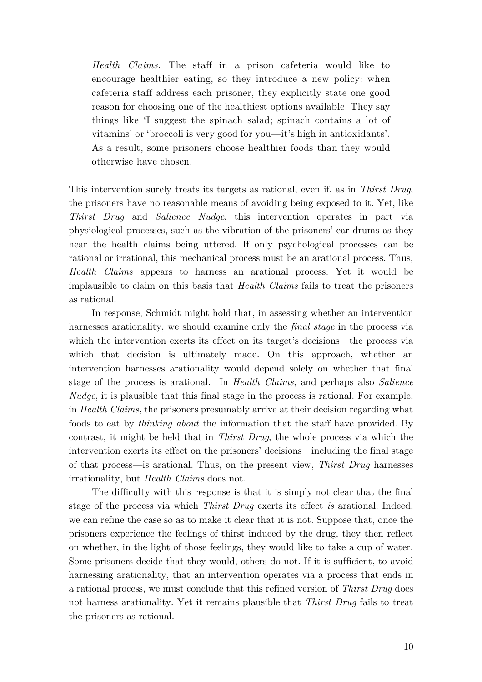*Health Claims.* The staff in a prison cafeteria would like to encourage healthier eating, so they introduce a new policy: when cafeteria staff address each prisoner, they explicitly state one good reason for choosing one of the healthiest options available. They say things like 'I suggest the spinach salad; spinach contains a lot of vitamins' or 'broccoli is very good for you—it's high in antioxidants'. As a result, some prisoners choose healthier foods than they would otherwise have chosen.

This intervention surely treats its targets as rational, even if, as in *Thirst Drug*, the prisoners have no reasonable means of avoiding being exposed to it. Yet, like *Thirst Drug* and *Salience Nudge*, this intervention operates in part via physiological processes, such as the vibration of the prisoners' ear drums as they hear the health claims being uttered. If only psychological processes can be rational or irrational, this mechanical process must be an arational process. Thus, *Health Claims* appears to harness an arational process. Yet it would be implausible to claim on this basis that *Health Claims* fails to treat the prisoners as rational.

In response, Schmidt might hold that, in assessing whether an intervention harnesses arationality, we should examine only the *final stage* in the process via which the intervention exerts its effect on its target's decisions—the process via which that decision is ultimately made. On this approach, whether an intervention harnesses arationality would depend solely on whether that final stage of the process is arational. In *Health Claims*, and perhaps also *Salience Nudge*, it is plausible that this final stage in the process is rational. For example, in *Health Claims*, the prisoners presumably arrive at their decision regarding what foods to eat by *thinking about* the information that the staff have provided. By contrast, it might be held that in *Thirst Drug*, the whole process via which the intervention exerts its effect on the prisoners' decisions—including the final stage of that process—is arational. Thus, on the present view, *Thirst Drug* harnesses irrationality, but *Health Claims* does not.

The difficulty with this response is that it is simply not clear that the final stage of the process via which *Thirst Drug* exerts its effect *is* arational. Indeed, we can refine the case so as to make it clear that it is not. Suppose that, once the prisoners experience the feelings of thirst induced by the drug, they then reflect on whether, in the light of those feelings, they would like to take a cup of water. Some prisoners decide that they would, others do not. If it is sufficient, to avoid harnessing arationality, that an intervention operates via a process that ends in a rational process, we must conclude that this refined version of *Thirst Drug* does not harness arationality. Yet it remains plausible that *Thirst Drug* fails to treat the prisoners as rational.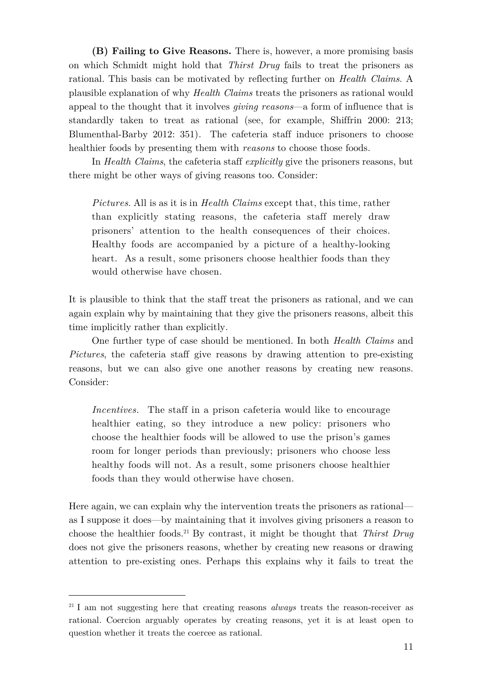**(B) Failing to Give Reasons.** There is, however, a more promising basis on which Schmidt might hold that *Thirst Drug* fails to treat the prisoners as rational. This basis can be motivated by reflecting further on *Health Claims*. A plausible explanation of why *Health Claims* treats the prisoners as rational would appeal to the thought that it involves *giving reasons*—a form of influence that is standardly taken to treat as rational (see, for example, Shiffrin 2000: 213; Blumenthal-Barby 2012: 351)*.* The cafeteria staff induce prisoners to choose healthier foods by presenting them with *reasons* to choose those foods.

In *Health Claims*, the cafeteria staff *explicitly* give the prisoners reasons, but there might be other ways of giving reasons too. Consider:

*Pictures*. All is as it is in *Health Claims* except that, this time, rather than explicitly stating reasons, the cafeteria staff merely draw prisoners' attention to the health consequences of their choices. Healthy foods are accompanied by a picture of a healthy-looking heart. As a result, some prisoners choose healthier foods than they would otherwise have chosen.

It is plausible to think that the staff treat the prisoners as rational, and we can again explain why by maintaining that they give the prisoners reasons, albeit this time implicitly rather than explicitly.

One further type of case should be mentioned. In both *Health Claims* and *Pictures*, the cafeteria staff give reasons by drawing attention to pre-existing reasons, but we can also give one another reasons by creating new reasons. Consider:

*Incentives.* The staff in a prison cafeteria would like to encourage healthier eating, so they introduce a new policy: prisoners who choose the healthier foods will be allowed to use the prison's games room for longer periods than previously; prisoners who choose less healthy foods will not. As a result, some prisoners choose healthier foods than they would otherwise have chosen.

Here again, we can explain why the intervention treats the prisoners as rational as I suppose it does—by maintaining that it involves giving prisoners a reason to choose the healthier foods.21 By contrast, it might be thought that *Thirst Drug* does not give the prisoners reasons, whether by creating new reasons or drawing attention to pre-existing ones. Perhaps this explains why it fails to treat the

<sup>&</sup>lt;sup>21</sup> I am not suggesting here that creating reasons *always* treats the reason-receiver as rational. Coercion arguably operates by creating reasons, yet it is at least open to question whether it treats the coercee as rational.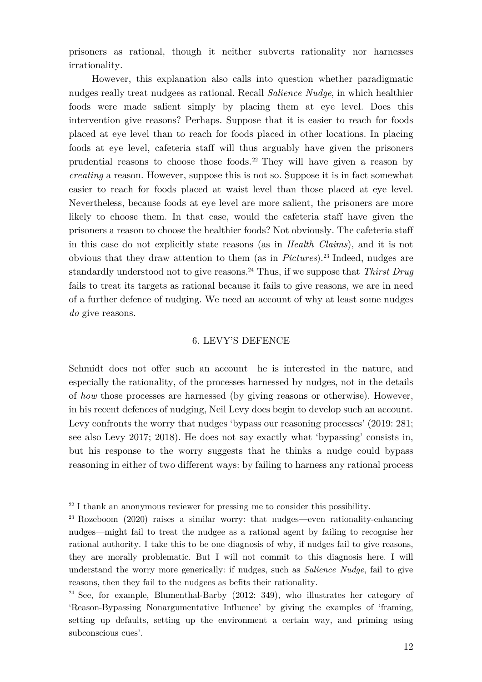prisoners as rational, though it neither subverts rationality nor harnesses irrationality.

However, this explanation also calls into question whether paradigmatic nudges really treat nudgees as rational. Recall *Salience Nudge*, in which healthier foods were made salient simply by placing them at eye level. Does this intervention give reasons? Perhaps. Suppose that it is easier to reach for foods placed at eye level than to reach for foods placed in other locations. In placing foods at eye level, cafeteria staff will thus arguably have given the prisoners prudential reasons to choose those foods.<sup>22</sup> They will have given a reason by *creating* a reason. However, suppose this is not so. Suppose it is in fact somewhat easier to reach for foods placed at waist level than those placed at eye level. Nevertheless, because foods at eye level are more salient, the prisoners are more likely to choose them. In that case, would the cafeteria staff have given the prisoners a reason to choose the healthier foods? Not obviously. The cafeteria staff in this case do not explicitly state reasons (as in *Health Claims*), and it is not obvious that they draw attention to them (as in *Pictures*).23 Indeed, nudges are standardly understood not to give reasons.24 Thus, if we suppose that *Thirst Drug* fails to treat its targets as rational because it fails to give reasons, we are in need of a further defence of nudging. We need an account of why at least some nudges *do* give reasons.

#### 6. LEVY'S DEFENCE

Schmidt does not offer such an account—he is interested in the nature, and especially the rationality, of the processes harnessed by nudges, not in the details of *how* those processes are harnessed (by giving reasons or otherwise). However, in his recent defences of nudging, Neil Levy does begin to develop such an account. Levy confronts the worry that nudges 'bypass our reasoning processes' (2019: 281; see also Levy 2017; 2018). He does not say exactly what 'bypassing' consists in, but his response to the worry suggests that he thinks a nudge could bypass reasoning in either of two different ways: by failing to harness any rational process

 $22$  I thank an anonymous reviewer for pressing me to consider this possibility.

<sup>&</sup>lt;sup>23</sup> Rozeboom (2020) raises a similar worry: that nudges—even rationality-enhancing nudges—might fail to treat the nudgee as a rational agent by failing to recognise her rational authority. I take this to be one diagnosis of why, if nudges fail to give reasons, they are morally problematic. But I will not commit to this diagnosis here. I will understand the worry more generically: if nudges, such as *Salience Nudge*, fail to give reasons, then they fail to the nudgees as befits their rationality.

 $24$  See, for example, Blumenthal-Barby (2012: 349), who illustrates her category of 'Reason-Bypassing Nonargumentative Influence' by giving the examples of 'framing, setting up defaults, setting up the environment a certain way, and priming using subconscious cues'.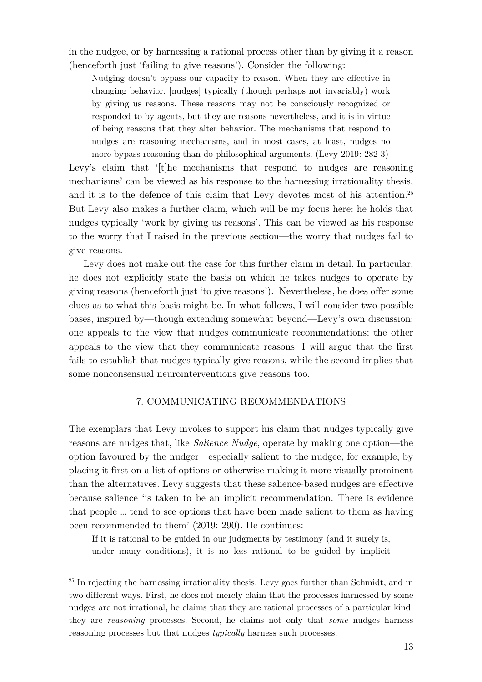in the nudgee, or by harnessing a rational process other than by giving it a reason (henceforth just 'failing to give reasons'). Consider the following:

Nudging doesn't bypass our capacity to reason. When they are effective in changing behavior, [nudges] typically (though perhaps not invariably) work by giving us reasons. These reasons may not be consciously recognized or responded to by agents, but they are reasons nevertheless, and it is in virtue of being reasons that they alter behavior. The mechanisms that respond to nudges are reasoning mechanisms, and in most cases, at least, nudges no more bypass reasoning than do philosophical arguments. (Levy 2019: 282-3)

Levy's claim that '[t]he mechanisms that respond to nudges are reasoning mechanisms' can be viewed as his response to the harnessing irrationality thesis, and it is to the defence of this claim that Levy devotes most of his attention.<sup>25</sup> But Levy also makes a further claim, which will be my focus here: he holds that nudges typically 'work by giving us reasons'. This can be viewed as his response to the worry that I raised in the previous section—the worry that nudges fail to give reasons.

Levy does not make out the case for this further claim in detail. In particular, he does not explicitly state the basis on which he takes nudges to operate by giving reasons (henceforth just 'to give reasons'). Nevertheless, he does offer some clues as to what this basis might be. In what follows, I will consider two possible bases, inspired by—though extending somewhat beyond—Levy's own discussion: one appeals to the view that nudges communicate recommendations; the other appeals to the view that they communicate reasons. I will argue that the first fails to establish that nudges typically give reasons, while the second implies that some nonconsensual neurointerventions give reasons too.

#### 7. COMMUNICATING RECOMMENDATIONS

The exemplars that Levy invokes to support his claim that nudges typically give reasons are nudges that, like *Salience Nudge*, operate by making one option—the option favoured by the nudger—especially salient to the nudgee, for example, by placing it first on a list of options or otherwise making it more visually prominent than the alternatives. Levy suggests that these salience-based nudges are effective because salience 'is taken to be an implicit recommendation. There is evidence that people … tend to see options that have been made salient to them as having been recommended to them' (2019: 290). He continues:

If it is rational to be guided in our judgments by testimony (and it surely is, under many conditions), it is no less rational to be guided by implicit

<sup>&</sup>lt;sup>25</sup> In rejecting the harnessing irrationality thesis, Levy goes further than Schmidt, and in two different ways. First, he does not merely claim that the processes harnessed by some nudges are not irrational, he claims that they are rational processes of a particular kind: they are *reasoning* processes. Second, he claims not only that *some* nudges harness reasoning processes but that nudges *typically* harness such processes.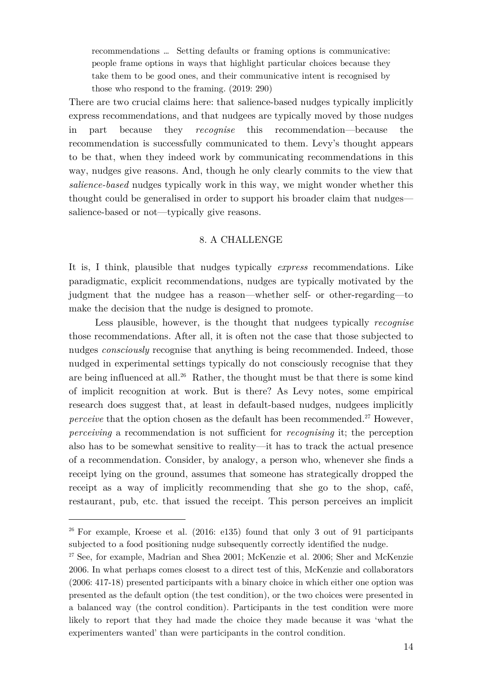recommendations … Setting defaults or framing options is communicative: people frame options in ways that highlight particular choices because they take them to be good ones, and their communicative intent is recognised by those who respond to the framing. (2019: 290)

There are two crucial claims here: that salience-based nudges typically implicitly express recommendations, and that nudgees are typically moved by those nudges in part because they *recognise* this recommendation—because the recommendation is successfully communicated to them. Levy's thought appears to be that, when they indeed work by communicating recommendations in this way, nudges give reasons. And, though he only clearly commits to the view that *salience-based* nudges typically work in this way, we might wonder whether this thought could be generalised in order to support his broader claim that nudges salience-based or not—typically give reasons.

#### 8. A CHALLENGE

It is, I think, plausible that nudges typically *express* recommendations. Like paradigmatic, explicit recommendations, nudges are typically motivated by the judgment that the nudgee has a reason—whether self- or other-regarding—to make the decision that the nudge is designed to promote.

Less plausible, however, is the thought that nudgees typically *recognise* those recommendations. After all, it is often not the case that those subjected to nudges *consciously* recognise that anything is being recommended. Indeed, those nudged in experimental settings typically do not consciously recognise that they are being influenced at all.<sup>26</sup> Rather, the thought must be that there is some kind of implicit recognition at work. But is there? As Levy notes, some empirical research does suggest that, at least in default-based nudges, nudgees implicitly *perceive* that the option chosen as the default has been recommended.<sup>27</sup> However, *perceiving* a recommendation is not sufficient for *recognising* it; the perception also has to be somewhat sensitive to reality—it has to track the actual presence of a recommendation. Consider, by analogy, a person who, whenever she finds a receipt lying on the ground, assumes that someone has strategically dropped the receipt as a way of implicitly recommending that she go to the shop, café, restaurant, pub, etc. that issued the receipt. This person perceives an implicit

<sup>&</sup>lt;sup>26</sup> For example, Kroese et al. (2016: e135) found that only 3 out of 91 participants subjected to a food positioning nudge subsequently correctly identified the nudge.

<sup>27</sup> See, for example, Madrian and Shea 2001; McKenzie et al. 2006; Sher and McKenzie 2006. In what perhaps comes closest to a direct test of this, McKenzie and collaborators (2006: 417-18) presented participants with a binary choice in which either one option was presented as the default option (the test condition), or the two choices were presented in a balanced way (the control condition). Participants in the test condition were more likely to report that they had made the choice they made because it was 'what the experimenters wanted' than were participants in the control condition.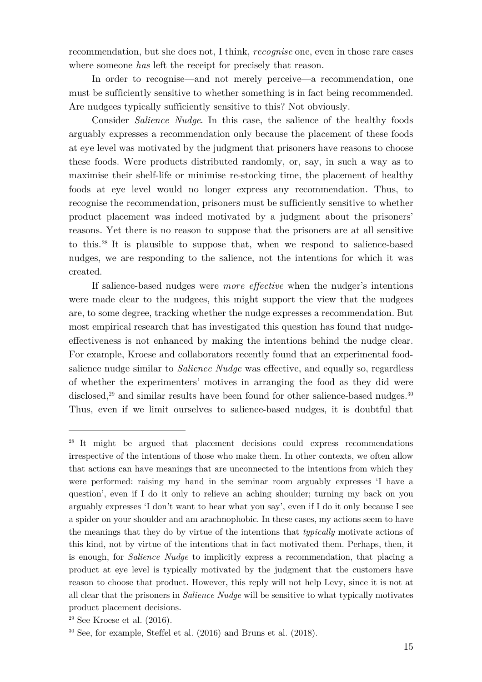recommendation, but she does not, I think, *recognise* one, even in those rare cases where someone *has* left the receipt for precisely that reason.

In order to recognise—and not merely perceive—a recommendation, one must be sufficiently sensitive to whether something is in fact being recommended. Are nudgees typically sufficiently sensitive to this? Not obviously.

Consider *Salience Nudge*. In this case, the salience of the healthy foods arguably expresses a recommendation only because the placement of these foods at eye level was motivated by the judgment that prisoners have reasons to choose these foods. Were products distributed randomly, or, say, in such a way as to maximise their shelf-life or minimise re-stocking time, the placement of healthy foods at eye level would no longer express any recommendation. Thus, to recognise the recommendation, prisoners must be sufficiently sensitive to whether product placement was indeed motivated by a judgment about the prisoners' reasons. Yet there is no reason to suppose that the prisoners are at all sensitive to this.28 It is plausible to suppose that, when we respond to salience-based nudges, we are responding to the salience, not the intentions for which it was created.

If salience-based nudges were *more effective* when the nudger's intentions were made clear to the nudgees, this might support the view that the nudgees are, to some degree, tracking whether the nudge expresses a recommendation. But most empirical research that has investigated this question has found that nudgeeffectiveness is not enhanced by making the intentions behind the nudge clear. For example, Kroese and collaborators recently found that an experimental foodsalience nudge similar to *Salience Nudge* was effective, and equally so, regardless of whether the experimenters' motives in arranging the food as they did were disclosed,<sup>29</sup> and similar results have been found for other salience-based nudges.<sup>30</sup> Thus, even if we limit ourselves to salience-based nudges, it is doubtful that

<sup>&</sup>lt;sup>28</sup> It might be argued that placement decisions could express recommendations irrespective of the intentions of those who make them. In other contexts, we often allow that actions can have meanings that are unconnected to the intentions from which they were performed: raising my hand in the seminar room arguably expresses 'I have a question', even if I do it only to relieve an aching shoulder; turning my back on you arguably expresses 'I don't want to hear what you say', even if I do it only because I see a spider on your shoulder and am arachnophobic. In these cases, my actions seem to have the meanings that they do by virtue of the intentions that *typically* motivate actions of this kind, not by virtue of the intentions that in fact motivated them. Perhaps, then, it is enough, for *Salience Nudge* to implicitly express a recommendation, that placing a product at eye level is typically motivated by the judgment that the customers have reason to choose that product. However, this reply will not help Levy, since it is not at all clear that the prisoners in *Salience Nudge* will be sensitive to what typically motivates product placement decisions.

 $29$  See Kroese et al.  $(2016)$ .

<sup>30</sup> See, for example, Steffel et al. (2016) and Bruns et al. (2018).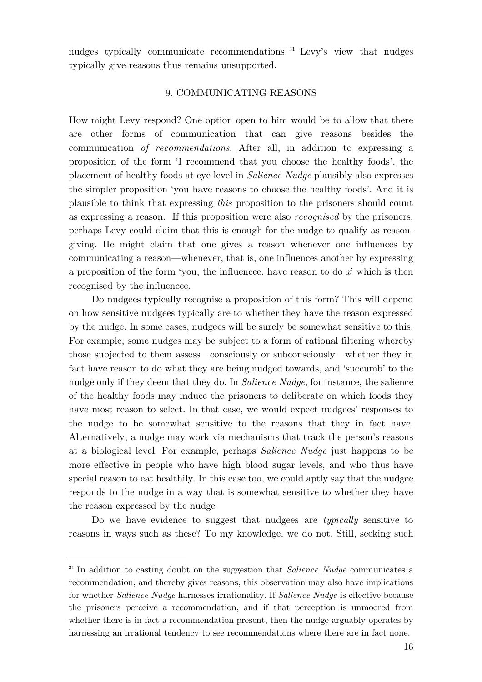nudges typically communicate recommendations.<sup>31</sup> Levy's view that nudges typically give reasons thus remains unsupported.

## 9. COMMUNICATING REASONS

How might Levy respond? One option open to him would be to allow that there are other forms of communication that can give reasons besides the communication *of recommendations*. After all, in addition to expressing a proposition of the form 'I recommend that you choose the healthy foods', the placement of healthy foods at eye level in *Salience Nudge* plausibly also expresses the simpler proposition 'you have reasons to choose the healthy foods'. And it is plausible to think that expressing *this* proposition to the prisoners should count as expressing a reason. If this proposition were also *recognised* by the prisoners, perhaps Levy could claim that this is enough for the nudge to qualify as reasongiving. He might claim that one gives a reason whenever one influences by communicating a reason—whenever, that is, one influences another by expressing a proposition of the form 'you, the influencee, have reason to do *x*' which is then recognised by the influencee.

Do nudgees typically recognise a proposition of this form? This will depend on how sensitive nudgees typically are to whether they have the reason expressed by the nudge. In some cases, nudgees will be surely be somewhat sensitive to this. For example, some nudges may be subject to a form of rational filtering whereby those subjected to them assess—consciously or subconsciously—whether they in fact have reason to do what they are being nudged towards, and 'succumb' to the nudge only if they deem that they do. In *Salience Nudge*, for instance, the salience of the healthy foods may induce the prisoners to deliberate on which foods they have most reason to select. In that case, we would expect nudgees' responses to the nudge to be somewhat sensitive to the reasons that they in fact have. Alternatively, a nudge may work via mechanisms that track the person's reasons at a biological level. For example, perhaps *Salience Nudge* just happens to be more effective in people who have high blood sugar levels, and who thus have special reason to eat healthily. In this case too, we could aptly say that the nudgee responds to the nudge in a way that is somewhat sensitive to whether they have the reason expressed by the nudge

Do we have evidence to suggest that nudgees are *typically* sensitive to reasons in ways such as these? To my knowledge, we do not. Still, seeking such

<sup>31</sup> In addition to casting doubt on the suggestion that *Salience Nudge* communicates a recommendation, and thereby gives reasons, this observation may also have implications for whether *Salience Nudge* harnesses irrationality. If *Salience Nudge* is effective because the prisoners perceive a recommendation, and if that perception is unmoored from whether there is in fact a recommendation present, then the nudge arguably operates by harnessing an irrational tendency to see recommendations where there are in fact none.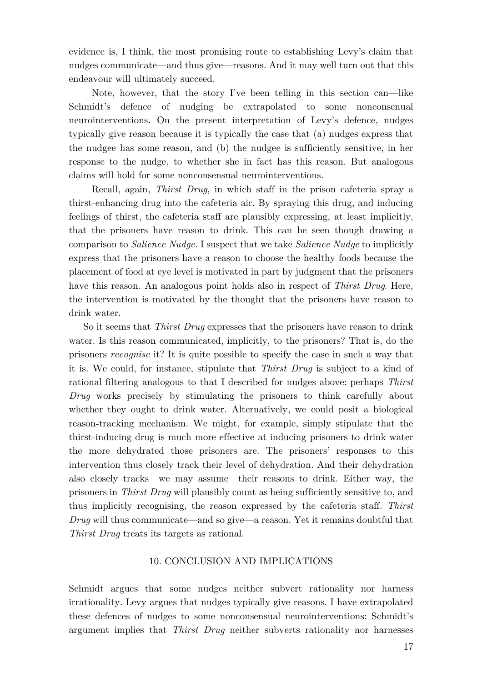evidence is, I think, the most promising route to establishing Levy's claim that nudges communicate—and thus give—reasons. And it may well turn out that this endeavour will ultimately succeed.

Note, however, that the story I've been telling in this section can—like Schmidt's defence of nudging—be extrapolated to some nonconsenual neurointerventions. On the present interpretation of Levy's defence, nudges typically give reason because it is typically the case that (a) nudges express that the nudgee has some reason, and (b) the nudgee is sufficiently sensitive, in her response to the nudge, to whether she in fact has this reason. But analogous claims will hold for some nonconsensual neurointerventions.

Recall, again, *Thirst Drug*, in which staff in the prison cafeteria spray a thirst-enhancing drug into the cafeteria air. By spraying this drug, and inducing feelings of thirst, the cafeteria staff are plausibly expressing, at least implicitly, that the prisoners have reason to drink. This can be seen though drawing a comparison to *Salience Nudge.* I suspect that we take *Salience Nudge* to implicitly express that the prisoners have a reason to choose the healthy foods because the placement of food at eye level is motivated in part by judgment that the prisoners have this reason. An analogous point holds also in respect of *Thirst Drug*. Here, the intervention is motivated by the thought that the prisoners have reason to drink water.

So it seems that *Thirst Drug* expresses that the prisoners have reason to drink water. Is this reason communicated, implicitly, to the prisoners? That is, do the prisoners *recognise* it? It is quite possible to specify the case in such a way that it is. We could, for instance, stipulate that *Thirst Drug* is subject to a kind of rational filtering analogous to that I described for nudges above: perhaps *Thirst Drug* works precisely by stimulating the prisoners to think carefully about whether they ought to drink water. Alternatively, we could posit a biological reason-tracking mechanism. We might, for example, simply stipulate that the thirst-inducing drug is much more effective at inducing prisoners to drink water the more dehydrated those prisoners are. The prisoners' responses to this intervention thus closely track their level of dehydration. And their dehydration also closely tracks—we may assume—their reasons to drink. Either way, the prisoners in *Thirst Drug* will plausibly count as being sufficiently sensitive to, and thus implicitly recognising, the reason expressed by the cafeteria staff. *Thirst Drug* will thus communicate—and so give—a reason. Yet it remains doubtful that *Thirst Drug* treats its targets as rational.

#### 10. CONCLUSION AND IMPLICATIONS

Schmidt argues that some nudges neither subvert rationality nor harness irrationality. Levy argues that nudges typically give reasons. I have extrapolated these defences of nudges to some nonconsensual neurointerventions: Schmidt's argument implies that *Thirst Drug* neither subverts rationality nor harnesses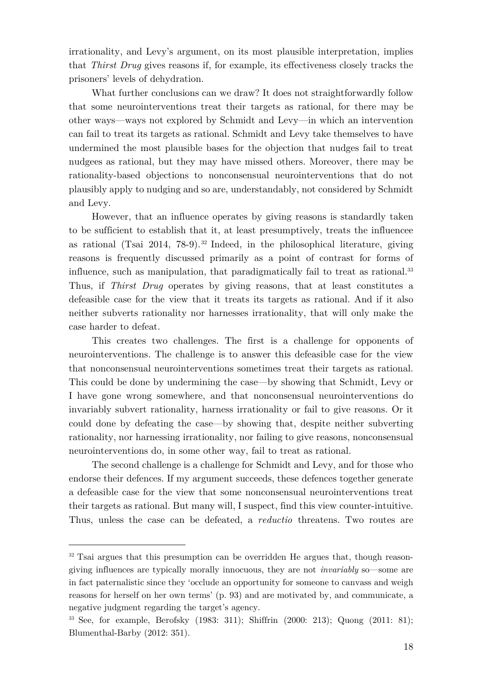irrationality, and Levy's argument, on its most plausible interpretation, implies that *Thirst Drug* gives reasons if, for example, its effectiveness closely tracks the prisoners' levels of dehydration.

What further conclusions can we draw? It does not straightforwardly follow that some neurointerventions treat their targets as rational, for there may be other ways—ways not explored by Schmidt and Levy—in which an intervention can fail to treat its targets as rational. Schmidt and Levy take themselves to have undermined the most plausible bases for the objection that nudges fail to treat nudgees as rational, but they may have missed others. Moreover, there may be rationality-based objections to nonconsensual neurointerventions that do not plausibly apply to nudging and so are, understandably, not considered by Schmidt and Levy.

However, that an influence operates by giving reasons is standardly taken to be sufficient to establish that it, at least presumptively, treats the influencee as rational (Tsai  $2014$ , 78-9).<sup>32</sup> Indeed, in the philosophical literature, giving reasons is frequently discussed primarily as a point of contrast for forms of influence, such as manipulation, that paradigmatically fail to treat as rational. 33 Thus, if *Thirst Drug* operates by giving reasons, that at least constitutes a defeasible case for the view that it treats its targets as rational. And if it also neither subverts rationality nor harnesses irrationality, that will only make the case harder to defeat.

This creates two challenges. The first is a challenge for opponents of neurointerventions. The challenge is to answer this defeasible case for the view that nonconsensual neurointerventions sometimes treat their targets as rational. This could be done by undermining the case—by showing that Schmidt, Levy or I have gone wrong somewhere, and that nonconsensual neurointerventions do invariably subvert rationality, harness irrationality or fail to give reasons. Or it could done by defeating the case—by showing that, despite neither subverting rationality, nor harnessing irrationality, nor failing to give reasons, nonconsensual neurointerventions do, in some other way, fail to treat as rational.

The second challenge is a challenge for Schmidt and Levy, and for those who endorse their defences. If my argument succeeds, these defences together generate a defeasible case for the view that some nonconsensual neurointerventions treat their targets as rational. But many will, I suspect, find this view counter-intuitive. Thus, unless the case can be defeated, a *reductio* threatens. Two routes are

<sup>&</sup>lt;sup>32</sup> Tsai argues that this presumption can be overridden He argues that, though reasongiving influences are typically morally innocuous, they are not *invariably* so—some are in fact paternalistic since they 'occlude an opportunity for someone to canvass and weigh reasons for herself on her own terms' (p. 93) and are motivated by, and communicate, a negative judgment regarding the target's agency.

<sup>33</sup> See, for example, Berofsky (1983: 311); Shiffrin (2000: 213); Quong (2011: 81); Blumenthal-Barby (2012: 351).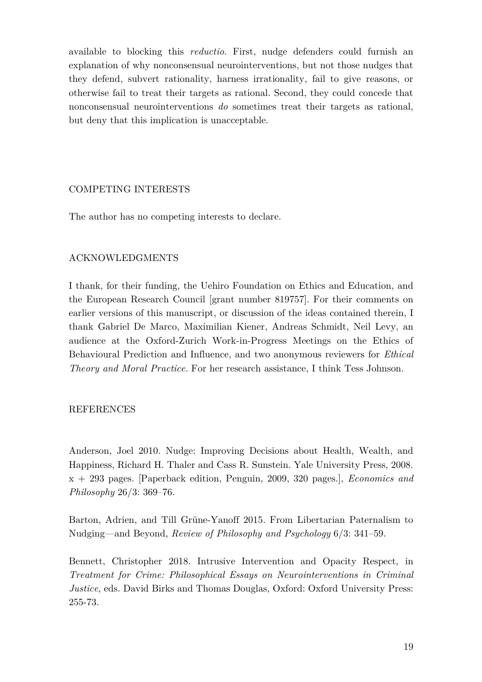available to blocking this *reductio*. First, nudge defenders could furnish an explanation of why nonconsensual neurointerventions, but not those nudges that they defend, subvert rationality, harness irrationality, fail to give reasons, or otherwise fail to treat their targets as rational. Second, they could concede that nonconsensual neurointerventions *do* sometimes treat their targets as rational, but deny that this implication is unacceptable.

# COMPETING INTERESTS

The author has no competing interests to declare.

## ACKNOWLEDGMENTS

I thank, for their funding, the Uehiro Foundation on Ethics and Education, and the European Research Council [grant number 819757]. For their comments on earlier versions of this manuscript, or discussion of the ideas contained therein, I thank Gabriel De Marco, Maximilian Kiener, Andreas Schmidt, Neil Levy, an audience at the Oxford-Zurich Work-in-Progress Meetings on the Ethics of Behavioural Prediction and Influence, and two anonymous reviewers for *Ethical Theory and Moral Practice*. For her research assistance, I think Tess Johnson.

## REFERENCES

Anderson, Joel 2010. Nudge: Improving Decisions about Health, Wealth, and Happiness, Richard H. Thaler and Cass R. Sunstein. Yale University Press, 2008. x + 293 pages. [Paperback edition, Penguin, 2009, 320 pages.], *Economics and Philosophy* 26/3: 369–76.

Barton, Adrien, and Till Grüne-Yanoff 2015. From Libertarian Paternalism to Nudging—and Beyond, *Review of Philosophy and Psychology* 6/3: 341–59.

Bennett, Christopher 2018. Intrusive Intervention and Opacity Respect, in *Treatment for Crime: Philosophical Essays on Neurointerventions in Criminal Justice*, eds. David Birks and Thomas Douglas, Oxford: Oxford University Press: 255-73.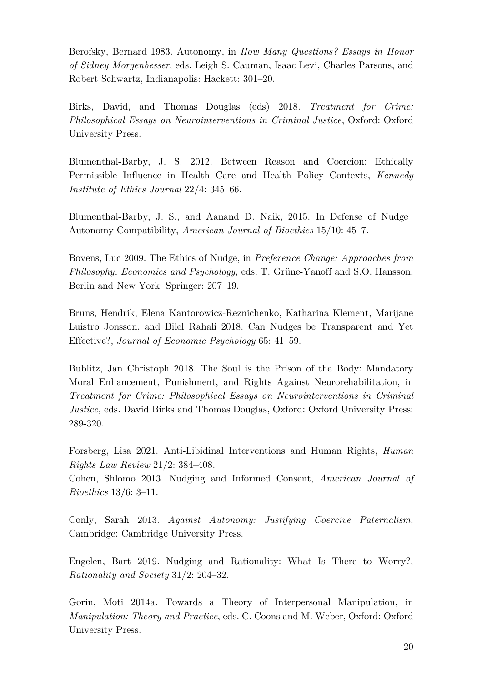Berofsky, Bernard 1983. Autonomy, in *How Many Questions? Essays in Honor of Sidney Morgenbesser*, eds. Leigh S. Cauman, Isaac Levi, Charles Parsons, and Robert Schwartz, Indianapolis: Hackett: 301–20.

Birks, David, and Thomas Douglas (eds) 2018. *Treatment for Crime: Philosophical Essays on Neurointerventions in Criminal Justice*, Oxford: Oxford University Press.

Blumenthal-Barby, J. S. 2012. Between Reason and Coercion: Ethically Permissible Influence in Health Care and Health Policy Contexts, *Kennedy Institute of Ethics Journal* 22/4: 345–66.

Blumenthal-Barby, J. S., and Aanand D. Naik, 2015. In Defense of Nudge– Autonomy Compatibility, *American Journal of Bioethics* 15/10: 45–7.

Bovens, Luc 2009. The Ethics of Nudge, in *Preference Change: Approaches from Philosophy, Economics and Psychology,* eds. T. Grüne-Yanoff and S.O. Hansson, Berlin and New York: Springer: 207–19.

Bruns, Hendrik, Elena Kantorowicz-Reznichenko, Katharina Klement, Marijane Luistro Jonsson, and Bilel Rahali 2018. Can Nudges be Transparent and Yet Effective?, *Journal of Economic Psychology* 65: 41–59.

Bublitz, Jan Christoph 2018. The Soul is the Prison of the Body: Mandatory Moral Enhancement, Punishment, and Rights Against Neurorehabilitation, in *Treatment for Crime: Philosophical Essays on Neurointerventions in Criminal Justice,* eds. David Birks and Thomas Douglas, Oxford: Oxford University Press: 289-320.

Forsberg, Lisa 2021. Anti-Libidinal Interventions and Human Rights, *Human Rights Law Review* 21/2: 384–408.

Cohen, Shlomo 2013. Nudging and Informed Consent, *American Journal of Bioethics* 13/6: 3–11.

Conly, Sarah 2013. *Against Autonomy: Justifying Coercive Paternalism*, Cambridge: Cambridge University Press.

Engelen, Bart 2019. Nudging and Rationality: What Is There to Worry?, *Rationality and Society* 31/2: 204–32.

Gorin, Moti 2014a. Towards a Theory of Interpersonal Manipulation, in *Manipulation: Theory and Practice*, eds. C. Coons and M. Weber, Oxford: Oxford University Press.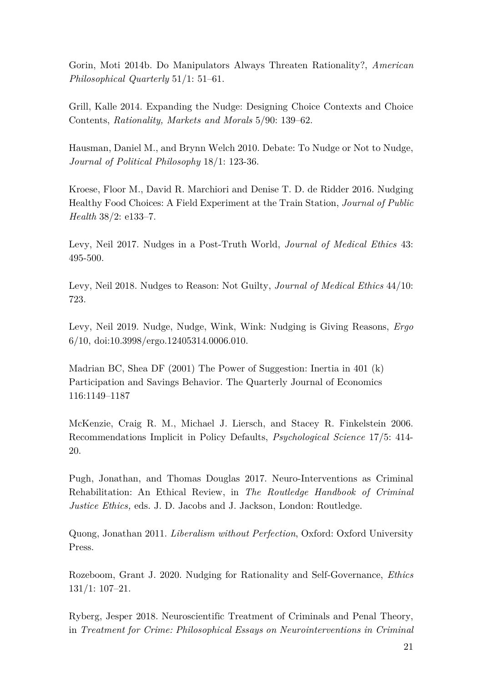Gorin, Moti 2014b. Do Manipulators Always Threaten Rationality?, *American Philosophical Quarterly* 51/1: 51–61.

Grill, Kalle 2014. Expanding the Nudge: Designing Choice Contexts and Choice Contents, *Rationality, Markets and Morals* 5/90: 139–62.

Hausman, Daniel M., and Brynn Welch 2010. Debate: To Nudge or Not to Nudge, *Journal of Political Philosophy* 18/1: 123-36.

Kroese, Floor M., David R. Marchiori and Denise T. D. de Ridder 2016. Nudging Healthy Food Choices: A Field Experiment at the Train Station, *Journal of Public Health* 38/2: e133–7.

Levy, Neil 2017. Nudges in a Post-Truth World, *Journal of Medical Ethics* 43: 495-500.

Levy, Neil 2018. Nudges to Reason: Not Guilty, *Journal of Medical Ethics* 44/10: 723.

Levy, Neil 2019. Nudge, Nudge, Wink, Wink: Nudging is Giving Reasons, *Ergo* 6/10, doi:10.3998/ergo.12405314.0006.010.

Madrian BC, Shea DF (2001) The Power of Suggestion: Inertia in 401 (k) Participation and Savings Behavior. The Quarterly Journal of Economics 116:1149–1187

McKenzie, Craig R. M., Michael J. Liersch, and Stacey R. Finkelstein 2006. Recommendations Implicit in Policy Defaults, *Psychological Science* 17/5: 414- 20.

Pugh, Jonathan, and Thomas Douglas 2017. Neuro-Interventions as Criminal Rehabilitation: An Ethical Review, in *The Routledge Handbook of Criminal Justice Ethics,* eds. J. D. Jacobs and J. Jackson, London: Routledge.

Quong, Jonathan 2011. *Liberalism without Perfection*, Oxford: Oxford University Press.

Rozeboom, Grant J. 2020. Nudging for Rationality and Self-Governance, *Ethics* 131/1: 107–21.

Ryberg, Jesper 2018. Neuroscientific Treatment of Criminals and Penal Theory, in *Treatment for Crime: Philosophical Essays on Neurointerventions in Criminal*